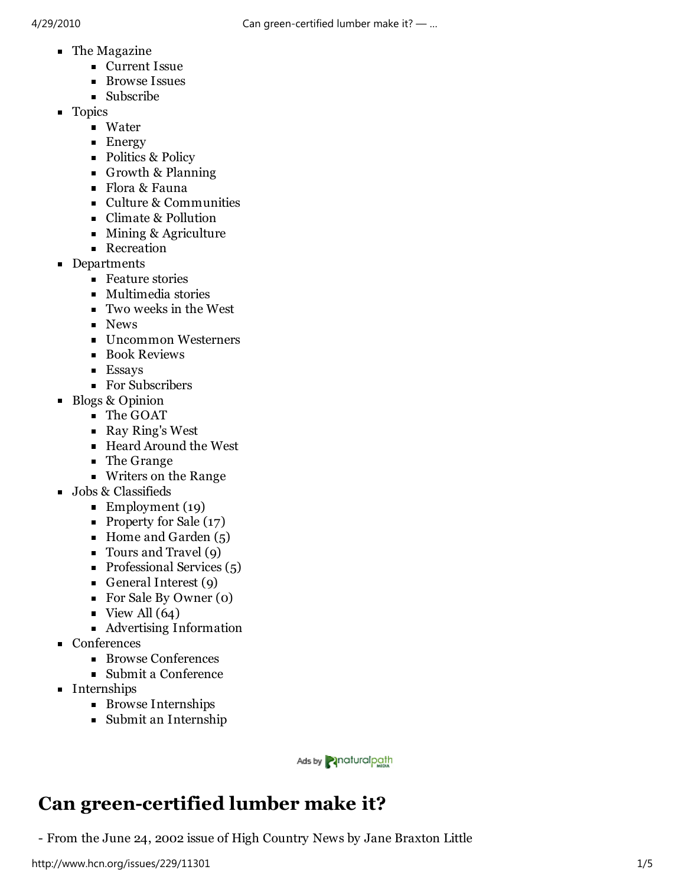- **The Magazine** 
	- **Current Issue**
	- **Browse Issues**
	- Subscribe
- **Topics** 
	- **Water**
	- **Energy**
	- Politics & Policy
	- Growth & Planning
	- Flora & Fauna
	- Culture & Communities
	- Climate & Pollution
	- Mining & Agriculture
	- **Recreation**
- **Departments** 
	- Feature stories
	- Multimedia stories
	- Two weeks in the West
	- **News**
	- **Uncommon Westerners**
	- **Book Reviews**
	- **Essays**
	- For Subscribers
- Blogs & Opinion
	- The GOAT
	- Ray Ring's West
	- Heard Around the West
	- The Grange
	- Writers on the Range
- **Jobs & Classifieds** 
	- Employment  $(19)$
	- Property for Sale (17)
	- Home and Garden  $(5)$
	- Tours and Travel (9)
	- $\blacksquare$  Professional Services (5)
	- General Interest (9)
	- For Sale By Owner (0)
	- $\blacksquare$  View All (64)
	- Advertising Information
- **Conferences** 
	- Browse Conferences
	- Submit a Conference
- **Internships** 
	- **Browse Internships**
	- Submit an Internship

Ads by **Pinaturalpath** 

# **Can green-certified lumber make it?**

- From the June 24, 2002 issue of High Country News by Jane Braxton Little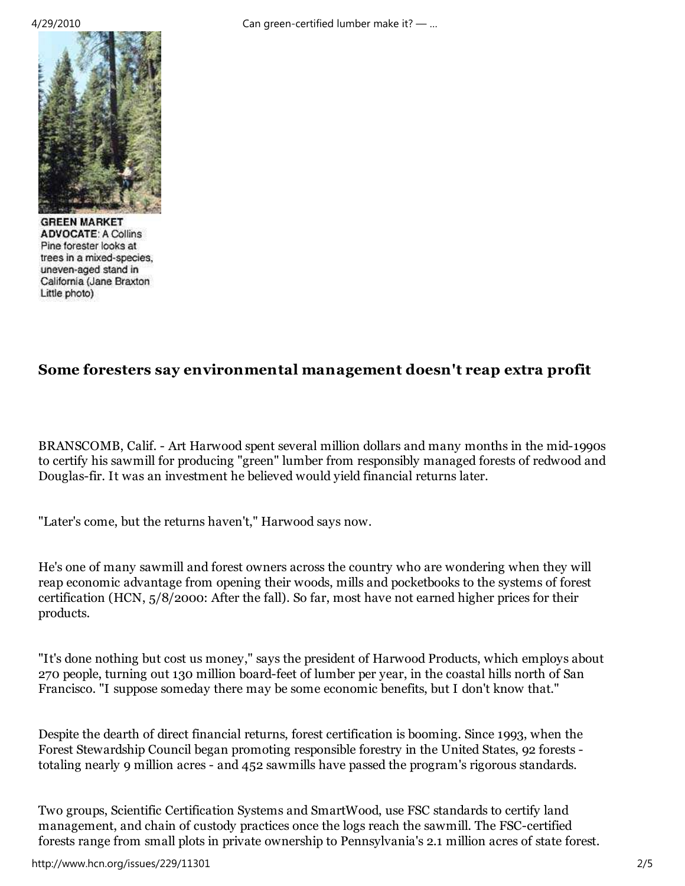4/29/2010 Can green-certified lumber make it? — …



**GREEN MARKET ADVOCATE: A Collins** Pine forester looks at trees in a mixed-species, uneven-aged stand in California (Jane Braxton Little photo)

### **Some foresters say environmental management doesn't reap extra profit**

BRANSCOMB, Calif. - Art Harwood spent several million dollars and many months in the mid-1990s to certify his sawmill for producing "green" lumber from responsibly managed forests of redwood and Douglas-fir. It was an investment he believed would yield financial returns later.

"Later's come, but the returns haven't," Harwood says now.

He's one of many sawmill and forest owners across the country who are wondering when they will reap economic advantage from opening their woods, mills and pocketbooks to the systems of forest certification (HCN, 5/8/2000: After the fall). So far, most have not earned higher prices for their products.

"It's done nothing but cost us money," says the president of Harwood Products, which employs about 270 people, turning out 130 million board-feet of lumber per year, in the coastal hills north of San Francisco. "I suppose someday there may be some economic benefits, but I don't know that."

Despite the dearth of direct financial returns, forest certification is booming. Since 1993, when the Forest Stewardship Council began promoting responsible forestry in the United States, 92 forests totaling nearly 9 million acres - and 452 sawmills have passed the program's rigorous standards.

Two groups, Scientific Certification Systems and SmartWood, use FSC standards to certify land management, and chain of custody practices once the logs reach the sawmill. The FSC-certified forests range from small plots in private ownership to Pennsylvania's 2.1 million acres of state forest.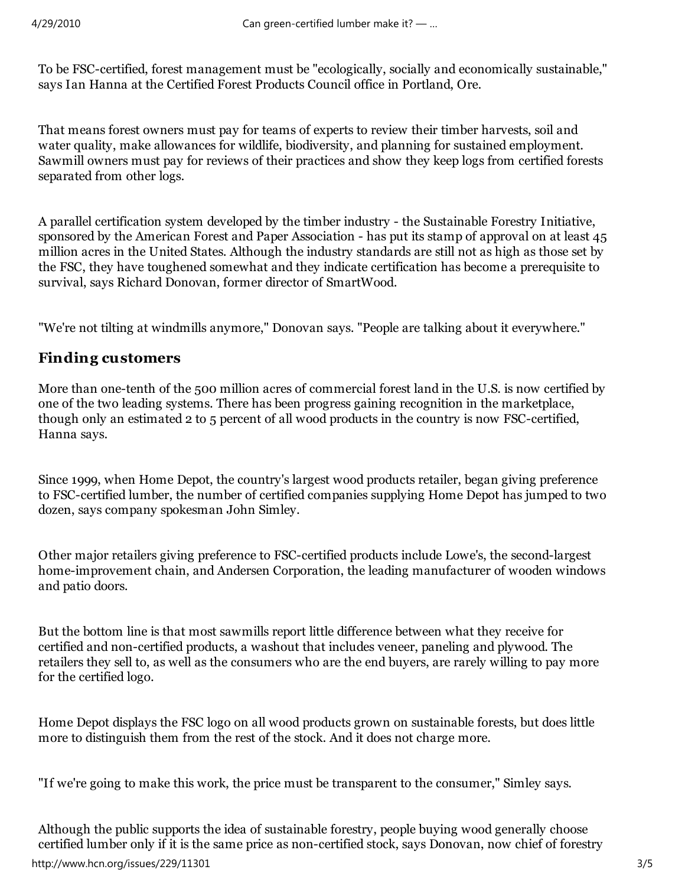To be FSC-certified, forest management must be "ecologically, socially and economically sustainable," says Ian Hanna at the Certified Forest Products Council office in Portland, Ore.

That means forest owners must pay for teams of experts to review their timber harvests, soil and water quality, make allowances for wildlife, biodiversity, and planning for sustained employment. Sawmill owners must pay for reviews of their practices and show they keep logs from certified forests separated from other logs.

A parallel certification system developed by the timber industry - the Sustainable Forestry Initiative, sponsored by the American Forest and Paper Association - has put its stamp of approval on at least 45 million acres in the United States. Although the industry standards are still not as high as those set by the FSC, they have toughened somewhat and they indicate certification has become a prerequisite to survival, says Richard Donovan, former director of SmartWood.

"We're not tilting at windmills anymore," Donovan says. "People are talking about it everywhere."

#### **Finding customers**

More than one-tenth of the 500 million acres of commercial forest land in the U.S. is now certified by one of the two leading systems. There has been progress gaining recognition in the marketplace, though only an estimated 2 to 5 percent of all wood products in the country is now FSC-certified, Hanna says.

Since 1999, when Home Depot, the country's largest wood products retailer, began giving preference to FSC-certified lumber, the number of certified companies supplying Home Depot has jumped to two dozen, says company spokesman John Simley.

Other major retailers giving preference to FSC-certified products include Lowe's, the second-largest home-improvement chain, and Andersen Corporation, the leading manufacturer of wooden windows and patio doors.

But the bottom line is that most sawmills report little difference between what they receive for certified and non-certified products, a washout that includes veneer, paneling and plywood. The retailers they sell to, as well as the consumers who are the end buyers, are rarely willing to pay more for the certified logo.

Home Depot displays the FSC logo on all wood products grown on sustainable forests, but does little more to distinguish them from the rest of the stock. And it does not charge more.

"If we're going to make this work, the price must be transparent to the consumer," Simley says.

Although the public supports the idea of sustainable forestry, people buying wood generally choose certified lumber only if it is the same price as non-certified stock, says Donovan, now chief of forestry http://www.hcn.org/issues/229/11301 3/5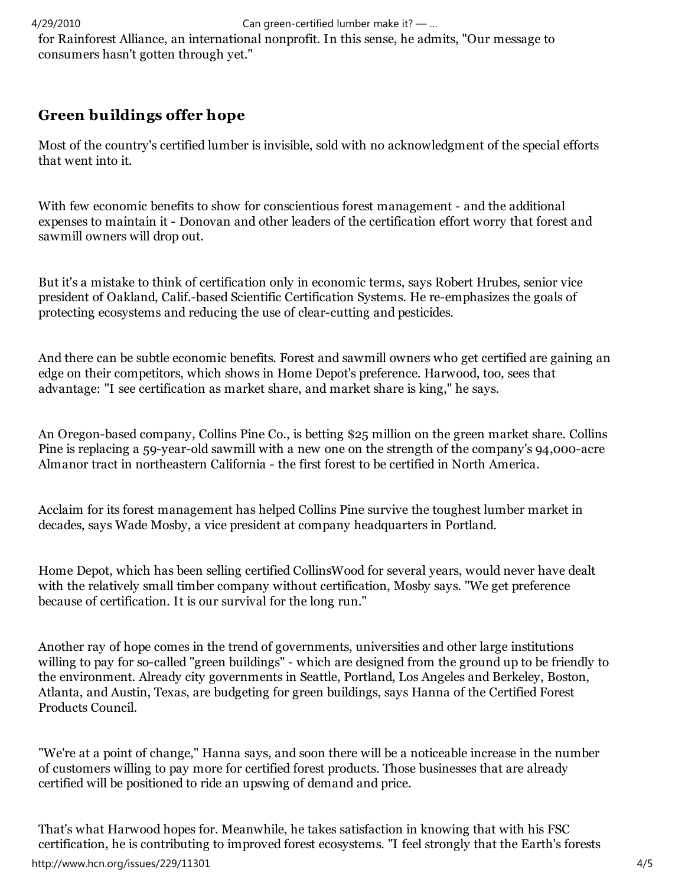4/29/2010 Can green-certified lumber make it? — …

for Rainforest Alliance, an international nonprofit. In this sense, he admits, "Our message to consumers hasn't gotten through yet."

## **Green buildings offer hope**

Most of the country's certified lumber is invisible, sold with no acknowledgment of the special efforts that went into it.

With few economic benefits to show for conscientious forest management - and the additional expenses to maintain it - Donovan and other leaders of the certification effort worry that forest and sawmill owners will drop out.

But it's a mistake to think of certification only in economic terms, says Robert Hrubes, senior vice president of Oakland, Calif.-based Scientific Certification Systems. He re-emphasizes the goals of protecting ecosystems and reducing the use of clear-cutting and pesticides.

And there can be subtle economic benefits. Forest and sawmill owners who get certified are gaining an edge on their competitors, which shows in Home Depot's preference. Harwood, too, sees that advantage: "I see certification as market share, and market share is king," he says.

An Oregon-based company, Collins Pine Co., is betting \$25 million on the green market share. Collins Pine is replacing a 59-year-old sawmill with a new one on the strength of the company's 94,000-acre Almanor tract in northeastern California - the first forest to be certified in North America.

Acclaim for its forest management has helped Collins Pine survive the toughest lumber market in decades, says Wade Mosby, a vice president at company headquarters in Portland.

Home Depot, which has been selling certified CollinsWood for several years, would never have dealt with the relatively small timber company without certification, Mosby says. "We get preference because of certification. It is our survival for the long run."

Another ray of hope comes in the trend of governments, universities and other large institutions willing to pay for so-called "green buildings" - which are designed from the ground up to be friendly to the environment. Already city governments in Seattle, Portland, Los Angeles and Berkeley, Boston, Atlanta, and Austin, Texas, are budgeting for green buildings, says Hanna of the Certified Forest Products Council.

"We're at a point of change," Hanna says, and soon there will be a noticeable increase in the number of customers willing to pay more for certified forest products. Those businesses that are already certified will be positioned to ride an upswing of demand and price.

That's what Harwood hopes for. Meanwhile, he takes satisfaction in knowing that with his FSC certification, he is contributing to improved forest ecosystems. "I feel strongly that the Earth's forests http://www.hcn.org/issues/229/11301 4/5